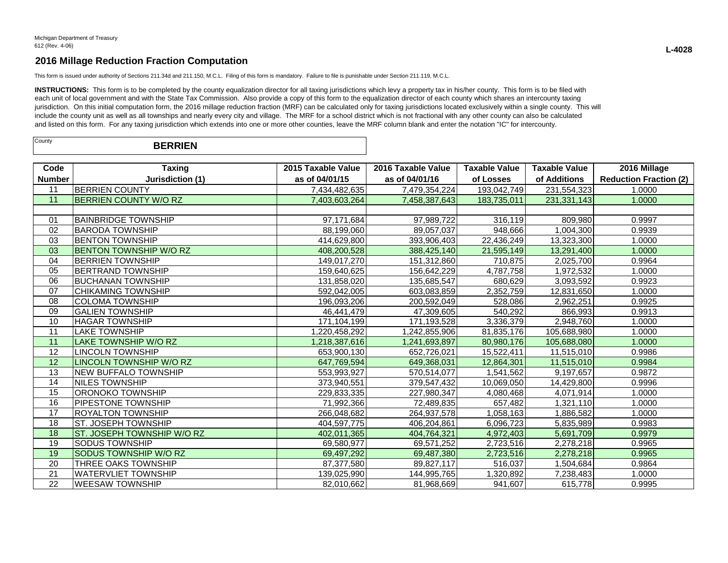This form is issued under authority of Sections 211.34d and 211.150, M.C.L. Filing of this form is mandatory. Failure to file is punishable under Section 211.119, M.C.L.

INSTRUCTIONS: This form is to be completed by the county equalization director for all taxing jurisdictions which levy a property tax in his/her county. This form is to be filed with each unit of local government and with the State Tax Commission. Also provide a copy of this form to the equalization director of each county which shares an intercounty taxing jurisdiction. On this initial computation form, the 2016 millage reduction fraction (MRF) can be calculated only for taxing jurisdictions located exclusively within a single county. This will include the county unit as well as all townships and nearly every city and village. The MRF for a school district which is not fractional with any other county can also be calculated and listed on this form. For any taxing jurisdiction which extends into one or more other counties, leave the MRF column blank and enter the notation "IC" for intercounty.

| County | <b>BERRIEN</b> |  |
|--------|----------------|--|
|--------|----------------|--|

| Code            | <b>Taxing</b>                 | 2015 Taxable Value | 2016 Taxable Value | <b>Taxable Value</b> | <b>Taxable Value</b> | 2016 Millage                  |
|-----------------|-------------------------------|--------------------|--------------------|----------------------|----------------------|-------------------------------|
| <b>Number</b>   | Jurisdiction (1)              | as of 04/01/15     | as of 04/01/16     | of Losses            | of Additions         | <b>Reduction Fraction (2)</b> |
| 11              | <b>BERRIEN COUNTY</b>         | 7,434,482,635      | 7,479,354,224      | 193,042,749          | 231,554,323          | 1.0000                        |
| 11              | <b>IBERRIEN COUNTY W/O RZ</b> | 7,403,603,264      | 7,458,387,643      | 183,735,011          | 231, 331, 143        | 1.0000                        |
|                 |                               |                    |                    |                      |                      |                               |
| 01              | <b>BAINBRIDGE TOWNSHIP</b>    | 97,171,684         | 97,989,722         | 316,119              | 809,980              | 0.9997                        |
| 02              | IBARODA TOWNSHIP              | 88,199,060         | 89,057,037         | 948,666              | 1,004,300            | 0.9939                        |
| 03              | <b>IBENTON TOWNSHIP</b>       | 414.629.800        | 393,906,403        | 22.436.249           | 13,323,300           | 1.0000                        |
| 03              | <b>BENTON TOWNSHIP W/O RZ</b> | 408,200,528        | 388,425,140        | 21,595,149           | 13,291,400           | 1.0000                        |
| 04              | <b>BERRIEN TOWNSHIP</b>       | 149,017,270        | 151,312,860        | 710,875              | 2,025,700            | 0.9964                        |
| 05              | <b>BERTRAND TOWNSHIP</b>      | 159,640,625        | 156,642,229        | 4,787,758            | 1,972,532            | 1.0000                        |
| 06              | IBUCHANAN TOWNSHIP            | 131,858,020        | 135,685,547        | 680,629              | 3,093,592            | 0.9923                        |
| 07              | <b>CHIKAMING TOWNSHIP</b>     | 592,042,005        | 603,083,859        | 2,352,759            | 12,831,650           | 1.0000                        |
| 08              | <b>COLOMA TOWNSHIP</b>        | 196,093,206        | 200,592,049        | 528,086              | 2,962,251            | 0.9925                        |
| 09              | <b>GALIEN TOWNSHIP</b>        | 46,441,479         | 47,309,605         | 540,292              | 866,993              | 0.9913                        |
| 10              | <b>HAGAR TOWNSHIP</b>         | 171,104,199        | 171,193,528        | 3,336,379            | 2,948,760            | 1.0000                        |
| 11              | <b>LAKE TOWNSHIP</b>          | 1.220.458.292      | 1,242,855,906      | 81,835,176           | 105,688,980          | 1.0000                        |
| 11              | LAKE TOWNSHIP W/O RZ          | 1,218,387,616      | 1,241,693,897      | 80,980,176           | 105,688,080          | 1.0000                        |
| 12              | <b>LINCOLN TOWNSHIP</b>       | 653,900,130        | 652,726,021        | 15,522,411           | 11,515,010           | 0.9986                        |
| 12              | LINCOLN TOWNSHIP W/O RZ       | 647,769,594        | 649,368,031        | 12,864,301           | 11,515,010           | 0.9984                        |
| 13              | <b>NEW BUFFALO TOWNSHIP</b>   | 553,993,927        | 570,514,077        | 1,541,562            | 9,197,657            | 0.9872                        |
| $\overline{14}$ | <b>NILES TOWNSHIP</b>         | 373,940,551        | 379,547,432        | 10,069,050           | 14,429,800           | 0.9996                        |
| 15              | IORONOKO TOWNSHIP             | 229,833,335        | 227,980,347        | 4,080,468            | 4,071,914            | 1.0000                        |
| 16              | <b>PIPESTONE TOWNSHIP</b>     | 71,992,366         | 72,489,835         | 657,482              | 1,321,110            | 1.0000                        |
| 17              | IROYALTON TOWNSHIP            | 266,048,682        | 264,937,578        | 1,058,163            | 1,886,582            | 1.0000                        |
| 18              | IST. JOSEPH TOWNSHIP          | 404,597,775        | 406,204,861        | 6,096,723            | 5,835,989            | 0.9983                        |
| 18              | ST. JOSEPH TOWNSHIP W/O RZ    | 402,011,365        | 404,764,321        | 4,972,403            | 5,691,709            | 0.9979                        |
| 19              | ISODUS TOWNSHIP               | 69,580,977         | 69,571,252         | 2,723,516            | 2,278,218            | 0.9965                        |
| 19              | <b>SODUS TOWNSHIP W/O RZ</b>  | 69,497,292         | 69,487,380         | 2,723,516            | 2,278,218            | 0.9965                        |
| 20              | THREE OAKS TOWNSHIP           | 87,377,580         | 89,827,117         | 516,037              | 1,504,684            | 0.9864                        |
| 21              | <b>WATERVLIET TOWNSHIP</b>    | 139.025.990        | 144,995,765        | 1.320.892            | 7,238,483            | 1.0000                        |
| 22              | <b>WEESAW TOWNSHIP</b>        | 82,010,662         | 81,968,669         | 941,607              | 615,778              | 0.9995                        |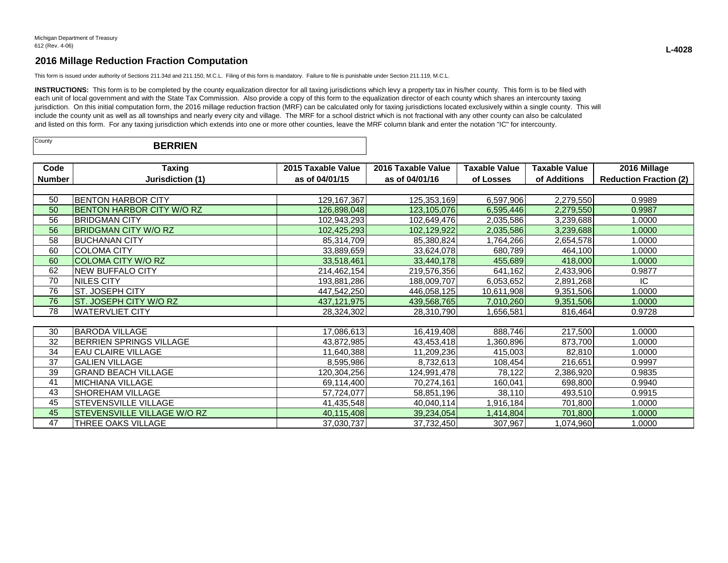This form is issued under authority of Sections 211.34d and 211.150, M.C.L. Filing of this form is mandatory. Failure to file is punishable under Section 211.119, M.C.L.

INSTRUCTIONS: This form is to be completed by the county equalization director for all taxing jurisdictions which levy a property tax in his/her county. This form is to be filed with each unit of local government and with the State Tax Commission. Also provide a copy of this form to the equalization director of each county which shares an intercounty taxing jurisdiction. On this initial computation form, the 2016 millage reduction fraction (MRF) can be calculated only for taxing jurisdictions located exclusively within a single county. This will include the county unit as well as all townships and nearly every city and village. The MRF for a school district which is not fractional with any other county can also be calculated and listed on this form. For any taxing jurisdiction which extends into one or more other counties, leave the MRF column blank and enter the notation "IC" for intercounty.

| County<br><b>BERRIEN</b> |  |  |
|--------------------------|--|--|
|--------------------------|--|--|

| Code          | <b>Taxing</b>                    | 2015 Taxable Value | 2016 Taxable Value | <b>Taxable Value</b> | <b>Taxable Value</b> | 2016 Millage                  |  |  |
|---------------|----------------------------------|--------------------|--------------------|----------------------|----------------------|-------------------------------|--|--|
| <b>Number</b> | Jurisdiction (1)                 | as of 04/01/15     | as of 04/01/16     | of Losses            | of Additions         | <b>Reduction Fraction (2)</b> |  |  |
|               |                                  |                    |                    |                      |                      |                               |  |  |
| 50            | BENTON HARBOR CITY               | 129, 167, 367      | 125,353,169        | 6,597,906            | 2,279,550            | 0.9989                        |  |  |
| 50            | <b>BENTON HARBOR CITY W/O RZ</b> | 126,898,048        | 123,105,076        | 6,595,446            | 2,279,550            | 0.9987                        |  |  |
| 56            | <b>BRIDGMAN CITY</b>             | 102,943,293        | 102,649,476        | 2,035,586            | 3,239,688            | 1.0000                        |  |  |
| 56            | <b>BRIDGMAN CITY W/O RZ</b>      | 102,425,293        | 102,129,922        | 2,035,586            | 3,239,688            | 1.0000                        |  |  |
| 58            | <b>BUCHANAN CITY</b>             | 85,314,709         | 85,380,824         | 1,764,266            | 2,654,578            | 1.0000                        |  |  |
| 60            | <b>COLOMA CITY</b>               | 33,889,659         | 33,624,078         | 680,789              | 464,100              | 1.0000                        |  |  |
| 60            | <b>COLOMA CITY W/O RZ</b>        | 33,518,461         | 33,440,178         | 455,689              | 418,000              | 1.0000                        |  |  |
| 62            | <b>NEW BUFFALO CITY</b>          | 214,462,154        | 219,576,356        | 641,162              | 2,433,906            | 0.9877                        |  |  |
| 70            | NILES CITY                       | 193,881,286        | 188,009,707        | 6,053,652            | 2,891,268            | IC.                           |  |  |
| 76            | ST. JOSEPH CITY                  | 447,542,250        | 446,058,125        | 10,611,908           | 9,351,506            | 1.0000                        |  |  |
| 76            | ST. JOSEPH CITY W/O RZ           | 437,121,975        | 439,568,765        | 7,010,260            | 9,351,506            | 1.0000                        |  |  |
| 78            | <b>WATERVLIET CITY</b>           | 28,324,302         | 28,310,790         | 1,656,581            | 816,464              | 0.9728                        |  |  |
|               |                                  |                    |                    |                      |                      |                               |  |  |
| 30            | <b>BARODA VILLAGE</b>            | 17,086,613         | 16,419,408         | 888,746              | 217,500              | 1.0000                        |  |  |
| 32            | <b>BERRIEN SPRINGS VILLAGE</b>   | 43,872,985         | 43,453,418         | ,360,896             | 873,700              | 1.0000                        |  |  |
| 34            | <b>EAU CLAIRE VILLAGE</b>        | 11,640,388         | 11,209,236         | 415,003              | 82,810               | 1.0000                        |  |  |
| 37            | <b>GALIEN VILLAGE</b>            | 8,595,986          | 8,732,613          | 108,454              | 216,651              | 0.9997                        |  |  |
| 39            | <b>GRAND BEACH VILLAGE</b>       | 120,304,256        | 124,991,478        | 78,122               | 2,386,920            | 0.9835                        |  |  |
| 41            | <b>MICHIANA VILLAGE</b>          | 69,114,400         | 70,274,161         | 160,041              | 698,800              | 0.9940                        |  |  |
| 43            | SHOREHAM VILLAGE                 | 57,724,077         | 58,851,196         | 38,110               | 493,510              | 0.9915                        |  |  |
| 45            | STEVENSVILLE VILLAGE             | 41,435,548         | 40,040,114         | 1,916,184            | 701,800              | 1.0000                        |  |  |
| 45            | STEVENSVILLE VILLAGE W/O RZ      | 40,115,408         | 39,234,054         | 1,414,804            | 701,800              | 1.0000                        |  |  |
| 47            | THREE OAKS VILLAGE               | 37,030,737         | 37,732,450         | 307,967              | 1,074,960            | 1.0000                        |  |  |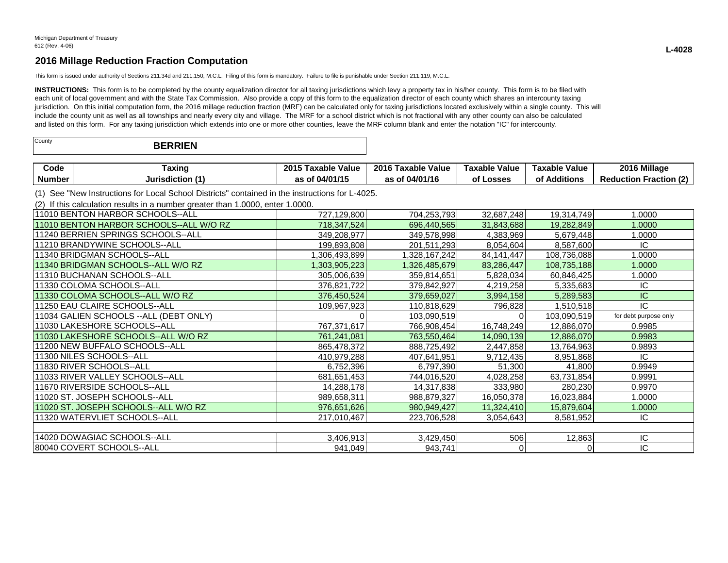This form is issued under authority of Sections 211.34d and 211.150, M.C.L. Filing of this form is mandatory. Failure to file is punishable under Section 211.119, M.C.L.

INSTRUCTIONS: This form is to be completed by the county equalization director for all taxing jurisdictions which levy a property tax in his/her county. This form is to be filed with each unit of local government and with the State Tax Commission. Also provide a copy of this form to the equalization director of each county which shares an intercounty taxing jurisdiction. On this initial computation form, the 2016 millage reduction fraction (MRF) can be calculated only for taxing jurisdictions located exclusively within a single county. This will include the county unit as well as all townships and nearly every city and village. The MRF for a school district which is not fractional with any other county can also be calculated and listed on this form. For any taxing jurisdiction which extends into one or more other counties, leave the MRF column blank and enter the notation "IC" for intercounty.

| County<br><b>BERRIEN</b> |  |
|--------------------------|--|
|--------------------------|--|

| Code   | raxinc       | $-2015$ $^{-1}$<br><b>Value</b><br><b>Faxable</b> | $-2016$ $^{-1}$<br>. Taxabir<br><b>Value</b> | Value<br>Taxable | Value<br><b>Taxable</b>                   | 16 Millage<br>2016                       |
|--------|--------------|---------------------------------------------------|----------------------------------------------|------------------|-------------------------------------------|------------------------------------------|
| Number | Jurisdiction | AINA IA                                           | . <u>.</u><br>04/01<br><br>้ เ ต             | _osses           | $\mathbf{r}$ . The set<br>Additions<br>О1 | $\sim$<br>Ernetier<br>duction<br>Rea<br> |

(1) See "New Instructions for Local School Districts" contained in the instructions for L-4025.

(2) If this calculation results in a number greater than 1.0000, enter 1.0000.

| 111010 BENTON HARBOR SCHOOLS--ALL       | 727,129,800   | 704,253,793   | 32,687,248   | 19,314,749  | 1.0000                |
|-----------------------------------------|---------------|---------------|--------------|-------------|-----------------------|
| 11010 BENTON HARBOR SCHOOLS--ALL W/O RZ | 718,347,524   | 696,440,565   | 31,843,688   | 19,282,849  | 1.0000                |
| 11240 BERRIEN SPRINGS SCHOOLS--ALL      | 349,208,977   | 349,578,998   | 4,383,969    | 5,679,448   | 1.0000                |
| 11210 BRANDYWINE SCHOOLS--ALL           | 199,893,808   | 201,511,293   | 8,054,604    | 8,587,600   | IC.                   |
| 11340 BRIDGMAN SCHOOLS--ALL             | 306,493,899   | 1,328,167,242 | 84, 141, 447 | 108,736,088 | 1.0000                |
| 11340 BRIDGMAN SCHOOLS--ALL W/O RZ      | 1,303,905,223 | 1,326,485,679 | 83,286,447   | 108,735,188 | 1.0000                |
| 11310 BUCHANAN SCHOOLS--ALL             | 305,006,639   | 359,814,651   | 5,828,034    | 60,846,425  | 1.0000                |
| l11330 COLOMA SCHOOLS--ALL              | 376,821,722   | 379,842,927   | 4,219,258    | 5,335,683   | IC.                   |
| 11330 COLOMA SCHOOLS--ALL W/O RZ        | 376,450,524   | 379,659,027   | 3,994,158    | 5,289,583   | IС                    |
| 11250 EAU CLAIRE SCHOOLS--ALL           | 109,967,923   | 110,818,629   | 796,828      | 1,510,518   | IC                    |
| 11034 GALIEN SCHOOLS -- ALL (DEBT ONLY) |               | 103,090,519   |              | 103,090,519 | for debt purpose only |
| 11030 LAKESHORE SCHOOLS--ALL            | 767,371,617   | 766,908,454   | 16,748,249   | 12,886,070  | 0.9985                |
| 11030 LAKESHORE SCHOOLS--ALL W/O RZ     | 761,241,081   | 763,550,464   | 14,090,139   | 12,886,070  | 0.9983                |
| 11200 NEW BUFFALO SCHOOLS--ALL          | 865,478,372   | 888,725,492   | 2,447,858    | 13,764,963  | 0.9893                |
| 11300 NILES SCHOOLS--ALL                | 410,979,288   | 407,641,951   | 9,712,435    | 8,951,868   | IC.                   |
| 11830 RIVER SCHOOLS--ALL                | 6,752,396     | 6,797,390     | 51,300       | 41,800      | 0.9949                |
| 111033 RIVER VALLEY SCHOOLS--ALL        | 681,651,453   | 744,016,520   | 4,028,258    | 63,731,854  | 0.9991                |
| 11670 RIVERSIDE SCHOOLS--ALL            | 14,288,178    | 14,317,838    | 333,980      | 280,230     | 0.9970                |
| 11020 ST. JOSEPH SCHOOLS--ALL           | 989,658,311   | 988,879,327   | 16,050,378   | 16,023,884  | 1.0000                |
| 11020 ST. JOSEPH SCHOOLS--ALL W/O RZ    | 976,651,626   | 980,949,427   | 11,324,410   | 15,879,604  | 1.0000                |
| 11320 WATERVLIET SCHOOLS--ALL           | 217,010,467   | 223,706,528   | 3,054,643    | 8,581,952   | IC.                   |
|                                         |               |               |              |             |                       |
| 14020 DOWAGIAC SCHOOLS--ALL             | 3,406,913     | 3,429,450     | 506          | 12,863      | IC.                   |
| 80040 COVERT SCHOOLS--ALL               | 941,049       | 943,741       |              |             | IC                    |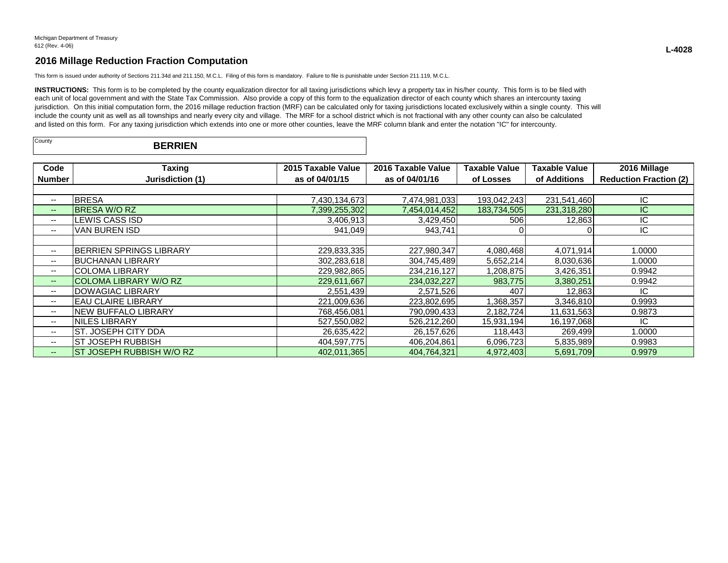This form is issued under authority of Sections 211.34d and 211.150, M.C.L. Filing of this form is mandatory. Failure to file is punishable under Section 211.119, M.C.L.

INSTRUCTIONS: This form is to be completed by the county equalization director for all taxing jurisdictions which levy a property tax in his/her county. This form is to be filed with each unit of local government and with the State Tax Commission. Also provide a copy of this form to the equalization director of each county which shares an intercounty taxing jurisdiction. On this initial computation form, the 2016 millage reduction fraction (MRF) can be calculated only for taxing jurisdictions located exclusively within a single county. This will include the county unit as well as all townships and nearly every city and village. The MRF for a school district which is not fractional with any other county can also be calculated and listed on this form. For any taxing jurisdiction which extends into one or more other counties, leave the MRF column blank and enter the notation "IC" for intercounty.

| County | <b>BERRIEN</b><br>DL. |
|--------|-----------------------|
|        |                       |

| Code                     | <b>Taxing</b>                  | 2015 Taxable Value | 2016 Taxable Value | <b>Taxable Value</b> | Taxable Value | 2016 Millage                  |
|--------------------------|--------------------------------|--------------------|--------------------|----------------------|---------------|-------------------------------|
| <b>Number</b>            | Jurisdiction (1)               | as of 04/01/15     | as of 04/01/16     | of Losses            | of Additions  | <b>Reduction Fraction (2)</b> |
|                          |                                |                    |                    |                      |               |                               |
| $--$                     | <b>BRESA</b>                   | 7,430,134,673      | 7,474,981,033      | 193,042,243          | 231,541,460   | IС                            |
| $- -$                    | <b>BRESA W/O RZ</b>            | 7,399,255,302      | 7,454,014,452      | 183,734,505          | 231,318,280   | IC                            |
| $--$                     | LEWIS CASS ISD                 | 3,406,913          | 3,429,450          | 506                  | 12,863        | IC                            |
| $- -$                    | VAN BUREN ISD                  | 941,049            | 943,741            |                      |               | IC                            |
|                          |                                |                    |                    |                      |               |                               |
| $--$                     | <b>BERRIEN SPRINGS LIBRARY</b> | 229,833,335        | 227,980,347        | 4,080,468            | 4,071,914     | 1.0000                        |
| $\overline{\phantom{a}}$ | IBUCHANAN LIBRARY              | 302,283,618        | 304,745,489        | 5,652,214            | 8,030,636     | 1.0000                        |
| $\overline{\phantom{a}}$ | <b>COLOMA LIBRARY</b>          | 229,982,865        | 234,216,127        | 1,208,875            | 3,426,351     | 0.9942                        |
| $- -$                    | <b>COLOMA LIBRARY W/O RZ</b>   | 229,611,667        | 234,032,227        | 983,775              | 3,380,251     | 0.9942                        |
| --                       | DOWAGIAC LIBRARY               | 2,551,439          | 2,571,526          | 407                  | 12,863        | IC                            |
| $\overline{\phantom{a}}$ | IEAU CLAIRE LIBRARY            | 221,009,636        | 223,802,695        | 1,368,357            | 3,346,810     | 0.9993                        |
| $- -$                    | <b>NEW BUFFALO LIBRARY</b>     | 768,456,081        | 790,090,433        | 2,182,724            | 11,631,563    | 0.9873                        |
| $--$                     | INILES LIBRARY                 | 527,550,082        | 526,212,260        | 15,931,194           | 16,197,068    | IC.                           |
| $\overline{\phantom{a}}$ | ST. JOSEPH CITY DDA            | 26,635,422         | 26,157,626         | 118,443              | 269,499       | 1.0000                        |
| $\overline{\phantom{a}}$ | ST JOSEPH RUBBISH              | 404,597,775        | 406,204,861        | 6,096,723            | 5,835,989     | 0.9983                        |
| $- -$                    | IST JOSEPH RUBBISH W/O RZ      | 402,011,365        | 404,764,321        | 4,972,403            | 5,691,709     | 0.9979                        |